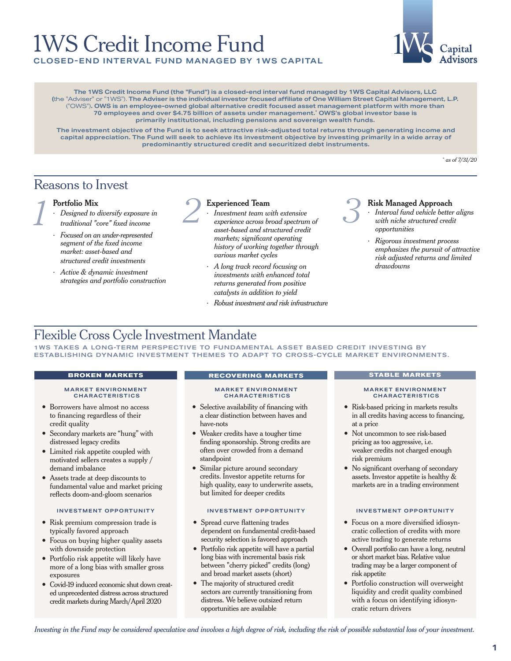# 1WS Credit Income Fund



**COSED-END INTERVAL FUND MANAGED BY 1WS CAPITAL** 

**The 1WS Credit Income Fund (the "Fund") is a closed-end interval fund managed by 1WS Capital Advisors, LLC (**the "Adviser" or "1WS"). **The Adviser is the individual investor focused affiliate of One William Street Capital Management, L.P.**  ("OWS")**. OWS is an employee-owned global alternative credit focused asset management platform with more than 70 employees and over \$4.75 billion of assets under management.\* OWS's global investor base is primarily institutional, including pensions and sovereign wealth funds.** 

**The investment objective of the Fund is to seek attractive risk-adjusted total returns through generating income and capital appreciation. The Fund will seek to achieve its investment objective by investing primarily in a wide array of predominantly structured credit and securitized debt instruments.**

*\* as of 7/31/20*

## Reasons to Invest

## **Portfolio Mix**

- ∙ *Designed to diversify exposure in traditional "core" fixed income*
- ∙ *Focused on an under-represented segment of the fixed income market: asset-based and structured credit investments*
- ∙ *Active & dynamic investment strategies and portfolio construction*



- ∙ *Investment team with extensive experience across broad spectrum of asset-based and structured credit markets; significant operating history of working together through various market cycles* Portfolio Mix<br> *1 Designed to diversify exposure in*<br> *1 Investment team with extensive*<br> *2 Investment team with extensive*<br> *2 Investment team with extensive*<br> *2 Alta income*<br> *2 Alta income*<br> *2 Alta inco* 
	- ∙ *A long track record focusing on investments with enhanced total returns generated from positive catalysts in addition to yield*
	- ∙ *Robust investment and risk infrastructure*



## **Risk Managed Approach**

- ∙ *Interval fund vehicle better aligns with niche structured credit opportunities*
- ∙ *Rigorous investment process emphasizes the pursuit of attractive risk adjusted returns and limited drawdowns*

## Flexible Cross Cycle Investment Mandate

1WS TAKES A LONG-TERM PERSPECTIVE TO FUNDAMENTAL ASSET BASED CREDIT INVESTING BY ESTABLISHING DYNAMIC INVESTMENT THEMES TO ADAPT TO CROSS-CYCLE MARKET ENVIRONMENTS.

### **MARKET ENVIRONMENT CHARACTERISTICS**

- Borrowers have almost no access to financing regardless of their credit quality
- Secondary markets are "hung" with distressed legacy credits
- Limited risk appetite coupled with motivated sellers creates a supply / demand imbalance
- Assets trade at deep discounts to fundamental value and market pricing reflects doom-and-gloom scenarios

- Risk premium compression trade is typically favored approach
- Focus on buying higher quality assets with downside protection
- Portfolio risk appetite will likely have more of a long bias with smaller gross exposures
- Covid-19 induced economic shut down created unprecedented distress across structured credit markets during March/April 2020

## **BROKEN MARKETS RECOVERING MARKETS STABLE MARKETS**

#### **MARKET ENVIRONMENT CHARACTERISTICS**

- Selective availability of financing with a clear distinction between haves and have-nots
- Weaker credits have a tougher time finding sponsorship. Strong credits are often over crowded from a demand standpoint
- Similar picture around secondary credits. Investor appetite returns for high quality, easy to underwrite assets, but limited for deeper credits

## **INVESTMENT OPPORTUNITY INVESTMENT OPPORTUNITY INVESTMENT OPPORTUNITY**

- Spread curve flattening trades dependent on fundamental credit-based security selection is favored approach
- Portfolio risk appetite will have a partial long bias with incremental basis risk between "cherry picked" credits (long) and broad market assets (short)
- The majority of structured credit sectors are currently transitioning from distress. We believe outsized return opportunities are available

#### **MARKET ENVIRONMENT CHARACTERISTICS**

- Risk-based pricing in markets results in all credits having access to financing, at a price
- Not uncommon to see risk-based pricing as too aggressive, i.e. weaker credits not charged enough risk premium
- No significant overhang of secondary assets. Investor appetite is healthy & markets are in a trading environment

- Focus on a more diversified idiosyncratic collection of credits with more active trading to generate returns
- Overall portfolio can have a long, neutral or short market bias. Relative value trading may be a larger component of risk appetite
- Portfolio construction will overweight liquidity and credit quality combined with a focus on identifying idiosyncratic return drivers

*Investing in the Fund may be considered speculative and involves a high degree of risk, including the risk of possible substantial loss of your investment.*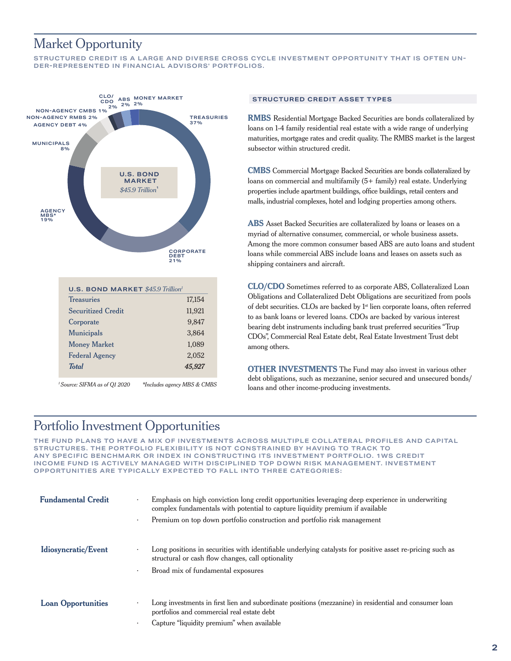## Market Opportunity

**STRUCTURED CREDIT IS A LARGE AND DIVERSE CROSS CYCLE INVESTMENT OPPORTUNITY THAT IS OFTEN UN-DER-REPRESENTED IN FINANCIAL ADVISORS' PORTFOLIOS.** 



*\*Includes agency MBS & CMBS*

## **STRUCTURED CREDIT ASSET TYPES**

**RMBS** Residential Mortgage Backed Securities are bonds collateralized by loans on 1-4 family residential real estate with a wide range of underlying maturities, mortgage rates and credit quality. The RMBS market is the largest subsector within structured credit.

**CMBS** Commercial Mortgage Backed Securities are bonds collateralized by loans on commercial and multifamily (5+ family) real estate. Underlying properties include apartment buildings, office buildings, retail centers and malls, industrial complexes, hotel and lodging properties among others.

**ABS** Asset Backed Securities are collateralized by loans or leases on a myriad of alternative consumer, commercial, or whole business assets. Among the more common consumer based ABS are auto loans and student loans while commercial ABS include loans and leases on assets such as shipping containers and aircraft.

**CLO/CDO** Sometimes referred to as corporate ABS, Collateralized Loan Obligations and Collateralized Debt Obligations are securitized from pools of debt securities. CLOs are backed by 1st lien corporate loans, often referred to as bank loans or levered loans. CDOs are backed by various interest bearing debt instruments including bank trust preferred securities "Trup CDOs", Commercial Real Estate debt, Real Estate Investment Trust debt among others.

**OTHER INVESTMENTS** The Fund may also invest in various other debt obligations, such as mezzanine, senior secured and unsecured bonds/ loans and other income-producing investments. *<sup>1</sup>Source: SIFMA as of Q1 2020*

## Portfolio Investment Opportunities

**THE FUND PLANS TO HAVE A MIX OF INVESTMENTS ACROSS MULTIPLE COLLATERAL PROFILES AND CAPITAL STRUCTURES. THE PORTFOLIO FLEXIBILITY IS NOT CONSTRAINED BY HAVING TO TRACK TO ANY SPECIFIC BENCHMARK OR INDEX IN CONSTRUCTING ITS INVESTMENT PORTFOLIO. 1WS CREDIT INCOME FUND IS ACTIVELY MANAGED WITH DISCIPLINED TOP DOWN RISK MANAGEMENT. INVESTMENT OPPORTUNITIES ARE TYPICALLY EXPECTED TO FALL INTO THREE CATEGORIES:**

| <b>Fundamental Credit</b> | Emphasis on high conviction long credit opportunities leveraging deep experience in underwriting<br>complex fundamentals with potential to capture liquidity premium if available |  |  |
|---------------------------|-----------------------------------------------------------------------------------------------------------------------------------------------------------------------------------|--|--|
|                           | Premium on top down portfolio construction and portfolio risk management<br>$\bullet$                                                                                             |  |  |
| Idiosyncratic/Event       | Long positions in securities with identifiable underlying catalysts for positive asset re-pricing such as<br>structural or cash flow changes, call optionality                    |  |  |
|                           | Broad mix of fundamental exposures<br>$\bullet$                                                                                                                                   |  |  |
| <b>Loan Opportunities</b> | Long investments in first lien and subordinate positions (mezzanine) in residential and consumer loan<br>portfolios and commercial real estate debt                               |  |  |
|                           | Capture "liquidity premium" when available                                                                                                                                        |  |  |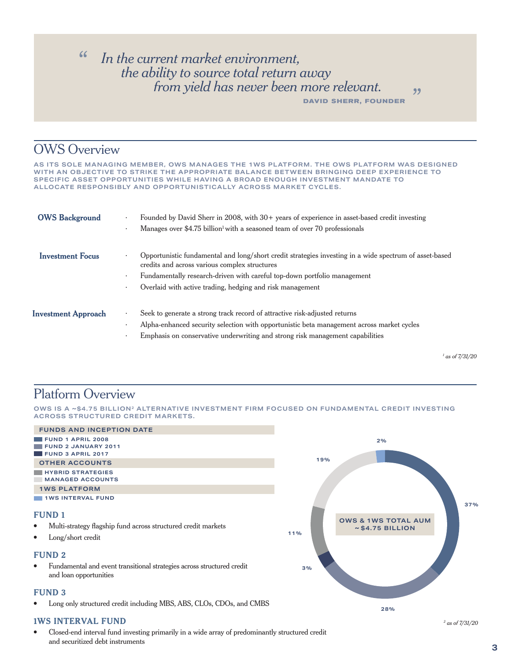## " *In the current market environment, the ability to source total return away from yield has never been more relevant.*

**DAVID SHERR, FOUNDER**

"

## OWS Overview

**AS ITS SOLE MANAGING MEMBER, OWS MANAGES THE 1WS PLATFORM. THE OWS PLATFORM WAS DESIGNED WITH AN OBJECTIVE TO STRIKE THE APPROPRIATE BALANCE BETWEEN BRINGING DEEP EXPERIENCE TO SPECIFIC ASSET OPPORTUNITIES WHILE HAVING A BROAD ENOUGH INVESTMENT MANDATE TO ALLOCATE RESPONSIBLY AND OPPORTUNISTICALLY ACROSS MARKET CYCLES.** 

| <b>OWS Background</b>      | Founded by David Sherr in 2008, with $30+$ years of experience in asset-based credit investing<br>$\ddot{\phantom{0}}$<br>Manages over \$4.75 billion <sup>1</sup> with a seasoned team of over 70 professionals<br>٠                                                                                      |
|----------------------------|------------------------------------------------------------------------------------------------------------------------------------------------------------------------------------------------------------------------------------------------------------------------------------------------------------|
| <b>Investment Focus</b>    | Opportunistic fundamental and long/short credit strategies investing in a wide spectrum of asset-based<br>credits and across various complex structures<br>Fundamentally research-driven with careful top-down portfolio management<br>٠<br>Overlaid with active trading, hedging and risk management<br>٠ |
| <b>Investment Approach</b> | Seek to generate a strong track record of attractive risk-adjusted returns<br>$\bullet$<br>Alpha-enhanced security selection with opportunistic beta management across market cycles<br>٠<br>Emphasis on conservative underwriting and strong risk management capabilities                                 |

*1 as of 7/31/20*

## Platform Overview

**OWS IS A ~\$4.75 BILLION2 ALTERNATIVE INVESTMENT FIRM FOCUSED ON FUNDAMENTAL CREDIT INVESTING ACROSS STRUCTURED CREDIT MARKETS.** 



• Closed-end interval fund investing primarily in a wide array of predominantly structured credit and securitized debt instruments

*2 as of 7/31/20*